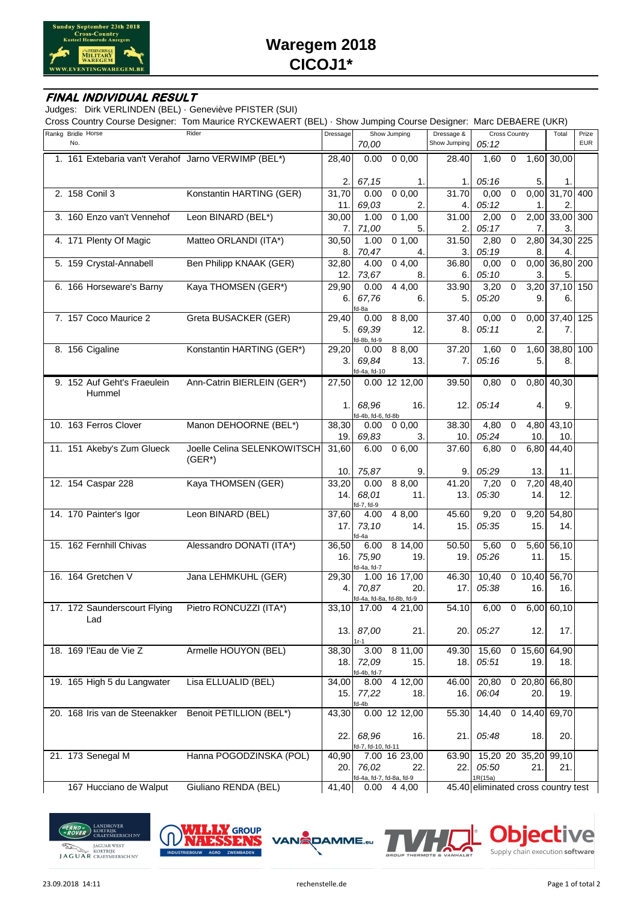

## Waregem 2018 CICOJ1\*

## FINAL INDIVIDUAL RESULT

Judges: Dirk VERLINDEN (BEL) · Geneviève PFISTER (SUI)

Cross Country Course Designer: Tom Maurice RYCKEWAERT (BEL) · Show Jumping Course Designer: Marc DEBAERE (UKR)

|                           |                                       |                                                     |              |                                   |                                  | ັ                          |                                     |             |                 |                      |                     |
|---------------------------|---------------------------------------|-----------------------------------------------------|--------------|-----------------------------------|----------------------------------|----------------------------|-------------------------------------|-------------|-----------------|----------------------|---------------------|
| Rankg Bridle Horse<br>No. |                                       | Rider                                               | Dressage     | 70,00                             | Show Jumping                     | Dressage &<br>Show Jumping | <b>Cross Country</b><br>05:12       |             |                 | Total                | Prize<br><b>EUR</b> |
|                           |                                       | 1. 161 Extebaria van't Verahof Jarno VERWIMP (BEL*) | 28.40        | 0.00                              | 0,00                             | 28.40                      | 1,60                                | 0           |                 | 1,60 30,00           |                     |
|                           |                                       |                                                     | 2.           | 67,15                             | 1.                               | 1.                         | 05:16                               |             | 5.              | 1.                   |                     |
|                           | 2. 158 Conil 3                        | Konstantin HARTING (GER)                            | 31,70<br>11. | 0.00<br>69,03                     | 0,0,00<br>2.                     | 31.70<br>4.                | 0,00<br>05:12                       | 0           | 1.              | 0.00 31.70 400<br>2. |                     |
|                           | 3. 160 Enzo van't Vennehof            | Leon BINARD (BEL*)                                  | 30,00        | 1.00                              | 0, 1, 00                         | 31.00                      | 2,00                                | 0           | 2,00            | 33,00 300            |                     |
|                           |                                       |                                                     | 7.           | 71,00                             | 5.                               | 2.                         | 05:17                               |             | 7.              | 3.                   |                     |
|                           | 4. 171 Plenty Of Magic                | Matteo ORLANDI (ITA*)                               | 30,50<br>8.  | 1.00<br>70,47                     | 0, 1, 00<br>4.                   | 31.50<br>3.                | 2,80<br>05:19                       | 0           | 2,80<br>8.      | 34,30 225<br>4.      |                     |
|                           | 5. 159 Crystal-Annabell               | Ben Philipp KNAAK (GER)                             | 32,80        | 4.00                              | 04,00                            | 36.80                      | 0,00<br>05:10                       | 0           | 0,00            | $36,80$ 200          |                     |
|                           | 6. 166 Horseware's Barny              | Kaya THOMSEN (GER*)                                 | 12.<br>29,90 | 73,67<br>0.00                     | 8.<br>4 4,00                     | 6.<br>33.90                | 3,20                                | 0           | 3.<br>3,20      | 5.<br>37,10 150      |                     |
|                           |                                       |                                                     | 6.           | 67,76<br>fd-8a                    | 6.                               | 5.                         | 05:20                               |             | 9.              | 6.                   |                     |
|                           | 7. 157 Coco Maurice 2                 | Greta BUSACKER (GER)                                | 29,40        | 0.00                              | 8 8,00                           | 37.40                      | 0,00                                | 0           | 0,00            | 37,40 125            |                     |
|                           |                                       |                                                     | 5.           | 69,39<br>fd-8b, fd-9              | 12.                              | 8.                         | 05:11                               |             | 2.              | 7.                   |                     |
|                           | 8. 156 Cigaline                       | Konstantin HARTING (GER*)                           | 29,20        | 0.00                              | 8 8,00                           | 37.20                      | 1,60                                | $\mathbf 0$ | 1,60            | 38,80 100            |                     |
|                           |                                       |                                                     | 3. I         | 69,84<br>fd-4a, fd-10             | 13.                              | 7.                         | 05:16                               |             | 5.              | 8.                   |                     |
|                           | 9. 152 Auf Geht's Fraeulein<br>Hummel | Ann-Catrin BIERLEIN (GER*)                          | 27,50        |                                   | 0.00 12 12,00                    | 39.50                      | 0,80                                | $\mathbf 0$ |                 | 0,80 40,30           |                     |
|                           |                                       |                                                     | 1.           | 68,96<br>fd-4b, fd-6, fd-8b       | 16.                              | 12.                        | 05:14                               |             | 4.              | 9.                   |                     |
|                           | 10. 163 Ferros Clover                 | Manon DEHOORNE (BEL*)                               | 38,30        | 0.00                              | 0,0,00                           | 38.30                      | 4,80                                | $\mathbf 0$ |                 | 4,80 43,10           |                     |
|                           |                                       |                                                     | 19.          | 69,83                             | 3.                               | 10.                        | 05:24                               |             | 10.             | 10.                  |                     |
|                           | 11. 151 Akeby's Zum Glueck            | Joelle Celina SELENKOWITSCH<br>$(GER^*)$            | 31,60        | 6.00                              | 0,6,00                           | 37.60                      | 6,80                                | 0           |                 | 6,80 44,40           |                     |
|                           |                                       |                                                     | 10.          | 75,87                             | 9.                               | 9.                         | 05:29                               |             | 13.             | 11.                  |                     |
|                           | 12. 154 Caspar 228                    | Kaya THOMSEN (GER)                                  | 33,20<br>14. | 0.00<br>68,01                     | 8 8,00<br>11.                    | 41.20<br>13.               | 7,20<br>05:30                       | 0           | 7,20<br>14.     | 48,40<br>12.         |                     |
|                           | 14. 170 Painter's Igor                | Leon BINARD (BEL)                                   | 37,60        | fd-7, fd-9<br>4.00                | 4 8,00                           | 45.60                      | 9,20                                | $\mathbf 0$ | 9,20            | 54,80                |                     |
|                           |                                       |                                                     | 17.1         | 73,10<br>fd-4a                    | 14.                              | 15.                        | 05:35                               |             | 15.             | 14.                  |                     |
|                           | 15. 162 Fernhill Chivas               | Alessandro DONATI (ITA*)                            | 36,50        | 6.00                              | 8 14,00                          | 50.50                      | 5,60                                | 0           |                 | 5,60 56,10           |                     |
|                           |                                       |                                                     | 16.          | 75,90<br>fd-4a, fd-7              | 19.                              | 19.                        | 05:26                               |             | 11.             | 15.                  |                     |
|                           | 16. 164 Gretchen V                    | Jana LEHMKUHL (GER)                                 | 29,30        |                                   | 1.00 16 17,00                    | 46.30                      | 10,40                               |             | $0$ 10,40 56,70 |                      |                     |
|                           |                                       |                                                     | 4.           | 70,87                             | 20.<br>fd-4a, fd-8a, fd-8b, fd-9 | 17.                        | 05:38                               |             | 16.             | 16.                  |                     |
|                           | 17. 172 Saunderscourt Flying<br>Lad   | Pietro RONCUZZI (ITA*)                              | 33,10        |                                   | 17.00 4 21,00                    | 54.10                      | $6,00$ 0                            |             |                 | $6,00$ 60,10         |                     |
|                           |                                       |                                                     | 13.          | 87,00<br>$1r-1$                   | 21.                              | 20.                        | 05:27                               |             | 12.             | 17.                  |                     |
|                           | 18. 169 l'Eau de Vie Z                | Armelle HOUYON (BEL)                                | 38,30        | 3.00                              | 8 11,00                          | 49.30                      | 15,60                               |             |                 | $0$ 15,60 64,90      |                     |
|                           |                                       |                                                     | 18.1         | 72,09<br>fd-4b, fd-7              | 15.                              | 18.                        | 05:51                               |             | 19.             | 18.                  |                     |
|                           | 19. 165 High 5 du Langwater           | Lisa ELLUALID (BEL)                                 | 34,00        | 8.00                              | 4 12,00                          | 46.00                      | 20,80                               |             | $0$ 20,80 66,80 |                      |                     |
|                           |                                       |                                                     | 15.          | 77,22<br>fd-4b                    | 18.                              | 16.                        | 06:04                               |             | 20.             | 19.                  |                     |
|                           | 20. 168 Iris van de Steenakker        | Benoit PETILLION (BEL*)                             | 43,30        |                                   | 0.00 12 12,00                    | 55.30                      | 14,40                               |             |                 | 0 14,40 69,70        |                     |
|                           |                                       |                                                     | 22.1         | 68,96<br>fd-7, fd-10, fd-11       | 16.                              | 21.I                       | 05:48                               |             | 18.             | 20.                  |                     |
|                           | 21. 173 Senegal M                     | Hanna POGODZINSKA (POL)                             | 40,90        |                                   | 7.00 16 23,00                    | 63.90                      | 15,20 20 35,20 99,10                |             |                 |                      |                     |
|                           |                                       |                                                     | 20.1         | 76,02<br>fd-4a, fd-7, fd-8a, fd-9 | 22.                              | 22.1                       | 05:50<br>1R(15a)                    |             | 21.             | 21.                  |                     |
|                           | 167 Hucciano de Walput                | Giuliano RENDA (BEL)                                | 41,40        |                                   | $0.00 \quad 4 \quad 4.00$        |                            | 45.40 eliminated cross country test |             |                 |                      |                     |





**DAMME.eu** 



г

Supply chain execution software

е

**Objec**